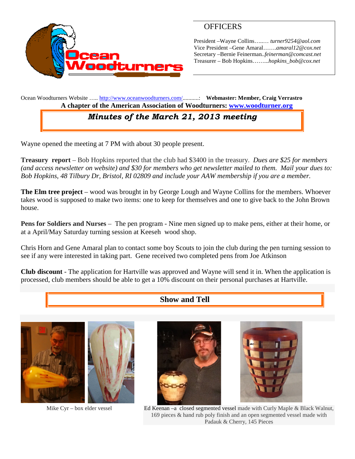

## **OFFICERS**

President –Wayne Collins…..… *turner9254@aol.com* Vice President –Gene Amaral…….*amaral12@cox.net* Secretary –Bernie Feinerman*..feinerman@comcast.net* Treasurer – Bob Hopkins……...*hopkins\_bob@cox.net*

Ocean Woodturners Website ….. <http://www.oceanwoodturners.com/>...........: **Webmaster: Member, Craig Verrastro A chapter of the American Association of Woodturners: [www.woodturner.org](http://www.woodturner.org/)**

# *Minutes of the March 21, 2013 meeting*

Wayne opened the meeting at 7 PM with about 30 people present.

**Treasury report** – Bob Hopkins reported that the club had \$3400 in the treasury. *Dues are \$25 for members (and access newsletter on website) and \$30 for members who get newsletter mailed to them. Mail your dues to: Bob Hopkins, 48 Tilbury Dr, Bristol, RI 02809 and include your AAW membership if you are a member.*

**The Elm tree project** – wood was brought in by George Lough and Wayne Collins for the members. Whoever takes wood is supposed to make two items: one to keep for themselves and one to give back to the John Brown house.

**Pens for Soldiers and Nurses** – The pen program - Nine men signed up to make pens, either at their home, or at a April/May Saturday turning session at Keeseh wood shop.

Chris Horn and Gene Amaral plan to contact some boy Scouts to join the club during the pen turning session to see if any were interested in taking part. Gene received two completed pens from Joe Atkinson

**Club discount** - The application for Hartville was approved and Wayne will send it in. When the application is processed, club members should be able to get a 10% discount on their personal purchases at Hartville.

### **Show and Tell**







Mike Cyr – box elder vessel Ed Keenan –a closed segmented vessel made with Curly Maple & Black Walnut, 169 pieces & hand rub poly finish and an open segmented vessel made with Padauk & Cherry, 145 Pieces